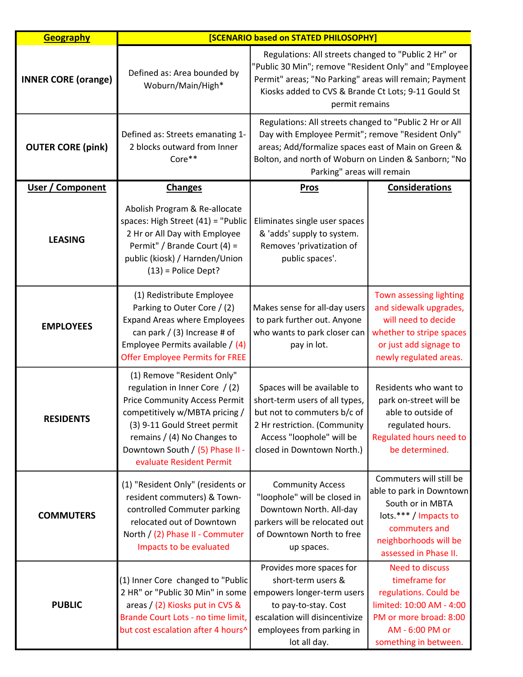| <b>Geography</b>           | <b>[SCENARIO based on STATED PHILOSOPHY]</b>                                                                                                                                                                                                                         |                                                                                                                                                                                                                                                           |                                                                                                                                                                     |
|----------------------------|----------------------------------------------------------------------------------------------------------------------------------------------------------------------------------------------------------------------------------------------------------------------|-----------------------------------------------------------------------------------------------------------------------------------------------------------------------------------------------------------------------------------------------------------|---------------------------------------------------------------------------------------------------------------------------------------------------------------------|
| <b>INNER CORE (orange)</b> | Defined as: Area bounded by<br>Woburn/Main/High*                                                                                                                                                                                                                     | Regulations: All streets changed to "Public 2 Hr" or<br>"Public 30 Min"; remove "Resident Only" and "Employee<br>Permit" areas; "No Parking" areas will remain; Payment<br>Kiosks added to CVS & Brande Ct Lots; 9-11 Gould St<br>permit remains          |                                                                                                                                                                     |
| <b>OUTER CORE (pink)</b>   | Defined as: Streets emanating 1-<br>2 blocks outward from Inner<br>Core**                                                                                                                                                                                            | Regulations: All streets changed to "Public 2 Hr or All<br>Day with Employee Permit"; remove "Resident Only"<br>areas; Add/formalize spaces east of Main on Green &<br>Bolton, and north of Woburn on Linden & Sanborn; "No<br>Parking" areas will remain |                                                                                                                                                                     |
| User / Component           | <b>Changes</b>                                                                                                                                                                                                                                                       | <b>Pros</b>                                                                                                                                                                                                                                               | <b>Considerations</b>                                                                                                                                               |
| <b>LEASING</b>             | Abolish Program & Re-allocate<br>spaces: High Street (41) = "Public<br>2 Hr or All Day with Employee<br>Permit" / Brande Court (4) =<br>public (kiosk) / Harnden/Union<br>$(13)$ = Police Dept?                                                                      | Eliminates single user spaces<br>& 'adds' supply to system.<br>Removes 'privatization of<br>public spaces'.                                                                                                                                               |                                                                                                                                                                     |
| <b>EMPLOYEES</b>           | (1) Redistribute Employee<br>Parking to Outer Core / (2)<br><b>Expand Areas where Employees</b><br>can park / (3) Increase # of<br>Employee Permits available / (4)<br><b>Offer Employee Permits for FREE</b>                                                        | Makes sense for all-day users<br>to park further out. Anyone<br>who wants to park closer can<br>pay in lot.                                                                                                                                               | Town assessing lighting<br>and sidewalk upgrades,<br>will need to decide<br>whether to stripe spaces<br>or just add signage to<br>newly regulated areas.            |
| <b>RESIDENTS</b>           | (1) Remove "Resident Only"<br>regulation in Inner Core / (2)<br><b>Price Community Access Permit</b><br>competitively w/MBTA pricing /<br>(3) 9-11 Gould Street permit<br>remains / (4) No Changes to<br>Downtown South / (5) Phase II -<br>evaluate Resident Permit | Spaces will be available to<br>short-term users of all types,<br>but not to commuters b/c of $ $<br>2 Hr restriction. (Community<br>Access "loophole" will be<br>closed in Downtown North.)                                                               | Residents who want to<br>park on-street will be<br>able to outside of<br>regulated hours.<br>Regulated hours need to<br>be determined.                              |
| <b>COMMUTERS</b>           | (1) "Resident Only" (residents or<br>resident commuters) & Town-<br>controlled Commuter parking<br>relocated out of Downtown<br>North / (2) Phase II - Commuter<br>Impacts to be evaluated                                                                           | <b>Community Access</b><br>"loophole" will be closed in<br>Downtown North. All-day<br>parkers will be relocated out<br>of Downtown North to free<br>up spaces.                                                                                            | Commuters will still be<br>able to park in Downtown<br>South or in MBTA<br>lots.*** / Impacts to<br>commuters and<br>neighborhoods will be<br>assessed in Phase II. |
| <b>PUBLIC</b>              | (1) Inner Core changed to "Public<br>2 HR" or "Public 30 Min" in some<br>areas / (2) Kiosks put in CVS &<br>Brande Court Lots - no time limit,<br>but cost escalation after 4 hours^                                                                                 | Provides more spaces for<br>short-term users &<br>empowers longer-term users<br>to pay-to-stay. Cost<br>escalation will disincentivize<br>employees from parking in<br>lot all day.                                                                       | <b>Need to discuss</b><br>timeframe for<br>regulations. Could be<br>limited: 10:00 AM - 4:00<br>PM or more broad: 8:00<br>AM - 6:00 PM or<br>something in between.  |